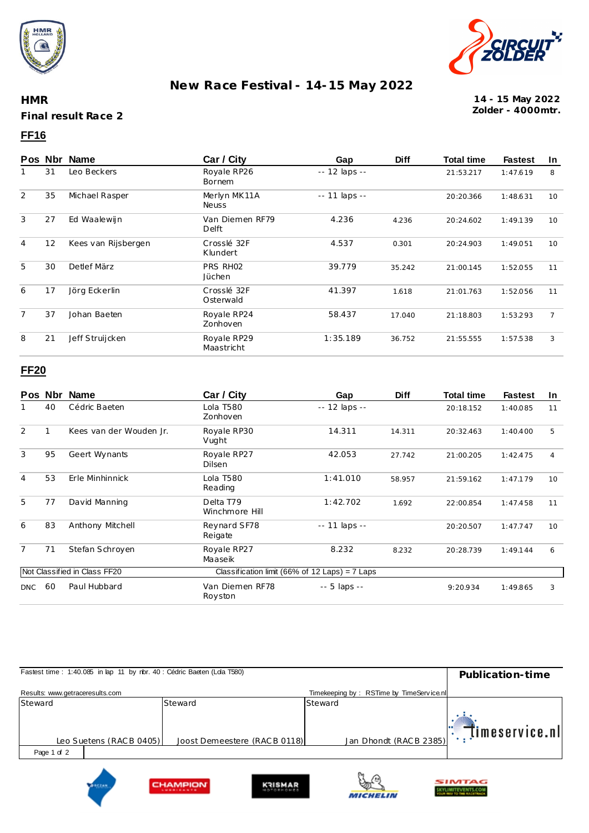



## **New Race Festival - 14-15 May 2022**

**HMR Final result Race 2**

#### **Zolder - 4000mtr. 14 - 15 May 2022**

### **FF16**

|                   | Pos Nbr | Name                         | Car / City                   | Gap           | <b>Diff</b> | <b>Total time</b> | <b>Fastest</b> | In |
|-------------------|---------|------------------------------|------------------------------|---------------|-------------|-------------------|----------------|----|
| 31<br>Leo Beckers |         | Royale RP26<br><b>Bornem</b> | $-12$ laps $-$               |               |             |                   | 8              |    |
| 2                 | 35      | Michael Rasper               | Merlyn MK11A<br><b>Neuss</b> | -- 11 laps -- |             | 20:20.366         | 1:48.631       | 10 |
| 3                 | 27      | Ed Waalewijn                 | Van Diemen RF79<br>Delft     | 4.236         | 4.236       | 20:24.602         | 1:49.139       | 10 |
| $\overline{4}$    | 12      | Kees van Rijsbergen          | Crosslé 32F<br>Klundert      | 4.537         | 0.301       | 20:24.903         | 1:49.051       | 10 |
| 5                 | 30      | Detlef März                  | PRS RH02<br>Jüchen           | 39.779        | 35.242      | 21:00.145         | 1:52.055       | 11 |
| 6                 | 17      | Jörg Eckerlin                | Crosslé 32F<br>Osterwald     | 41.397        | 1.618       | 21:01.763         | 1:52.056       | 11 |
| $\overline{7}$    | 37      | Johan Baeten                 | Royale RP24<br>Zonhoven      | 58.437        | 17.040      | 21:18.803         | 1:53.293       | 7  |
| 8                 | 21      | Jeff Struijcken              | Royale RP29<br>Maastricht    | 1:35.189      | 36.752      | 21:55.555         | 1:57.538       | 3  |

### **FF20**

|                | Pos Nbr | <b>Name</b>                  | Car / City                  | Gap                                              | <b>Diff</b> | <b>Total time</b> | <b>Fastest</b> | <u>In</u> |
|----------------|---------|------------------------------|-----------------------------|--------------------------------------------------|-------------|-------------------|----------------|-----------|
|                | 40      | Cédric Baeten                | Lola T580<br>Zonhoven       | -- 12 laps --                                    |             | 20:18.152         | 1:40.085       | 11        |
| $\overline{2}$ |         | Kees van der Wouden Jr.      | Royale RP30<br>Vught        | 14.311                                           | 14.311      | 20:32.463         | 1:40.400       | 5         |
| 3              | 95      | Geert Wynants                | Royale RP27<br>Dilsen       | 42.053                                           | 27.742      | 21:00.205         | 1:42.475       | 4         |
| $\overline{4}$ | 53      | Erle Minhinnick              | Lola T580<br>Reading        | 1:41.010<br>58.957                               |             | 21:59.162         | 1:47.179       | 10        |
| 5              | 77      | David Manning                | Delta T79<br>Winchmore Hill | 1:42.702                                         | 1.692       | 22:00.854         | 1:47.458       | 11        |
| 6              | 83      | Anthony Mitchell             | Reynard SF78<br>Reigate     | -- 11 laps --                                    |             | 20:20.507         | 1:47.747       | 10        |
| $\overline{7}$ | 71      | Stefan Schroyen              | Royale RP27<br>Maaseik      | 8.232<br>8.232                                   |             | 20:28.739         | 1:49.144       | 6         |
|                |         | Not Classified in Class FF20 |                             | Classification limit (66% of 12 Laps) = $7$ Laps |             |                   |                |           |
| <b>DNC</b>     | 60      | Paul Hubbard                 | Van Diemen RF78<br>Royston  | -- 5 laps --                                     |             | 9:20.934          | 1:49.865       | 3         |

| Fastest time: 1:40.085 in lap 11 by rbr. 40 : Cédric Baeten (Lda T580) | Publication-time                                   |                                          |                            |
|------------------------------------------------------------------------|----------------------------------------------------|------------------------------------------|----------------------------|
| Results: www.getraceresults.com                                        |                                                    | Timekeeping by: RSTime by TimeService.nl |                            |
| Steward                                                                | Steward                                            | Steward                                  |                            |
| Leo Suetens (RACB 0405)                                                | Joost Demeestere (RAC B 0118)                      | Jan Dhondt (RACB 2385)                   | $\mathbb{R}$ imeservice.nl |
| Page 1 of 2                                                            |                                                    |                                          |                            |
|                                                                        | <b>CLIABADIONE</b><br><b><i><u>UNICHAN</u></i></b> | H.C                                      | SIMTAG                     |

**KRISMAR** 

☜

**MICHELIN** 

**KYLIMITEVENTS.COM** 

CHAMPION